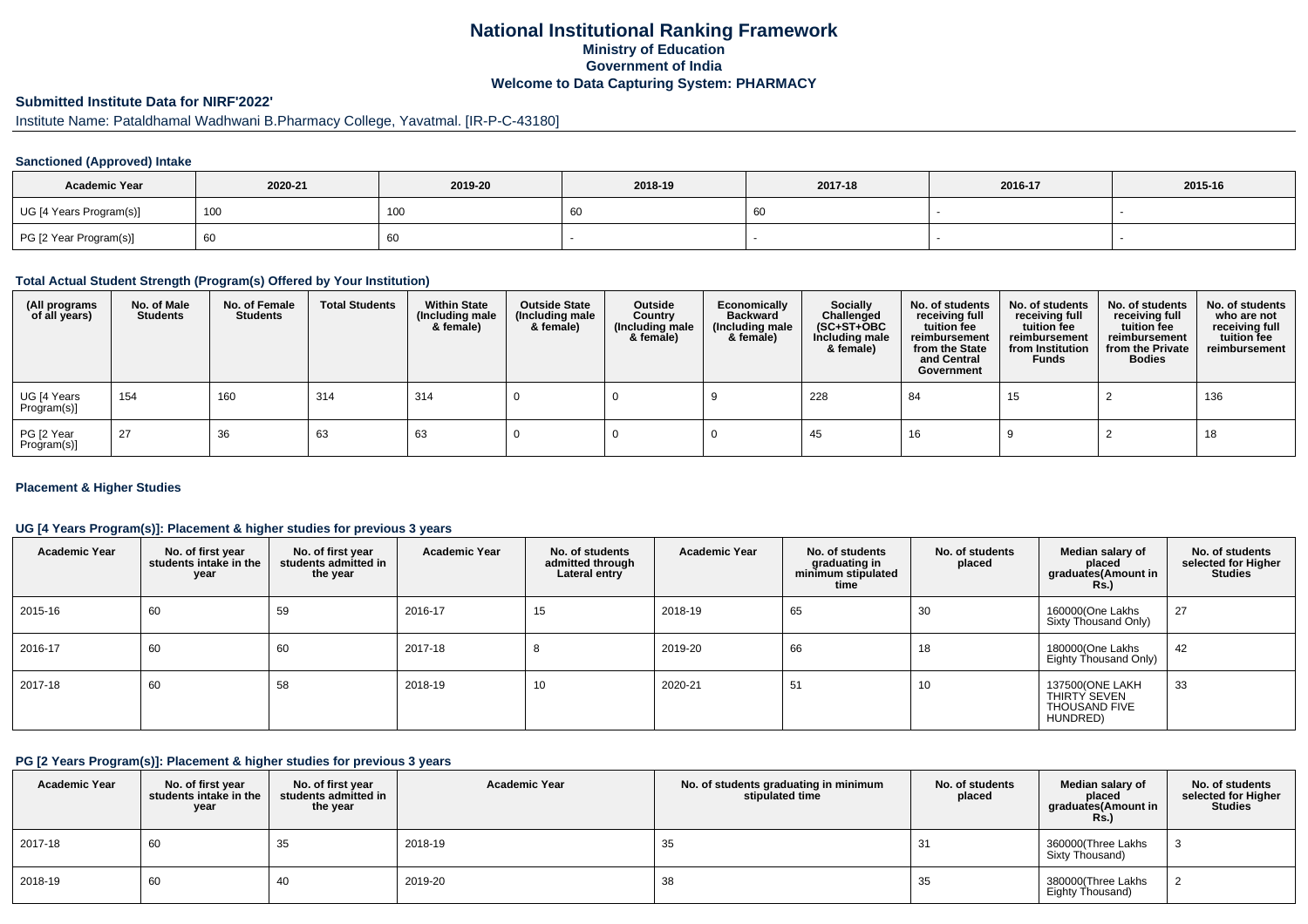# **National Institutional Ranking FrameworkMinistry of Education Government of IndiaWelcome to Data Capturing System: PHARMACY**

# **Submitted Institute Data for NIRF'2022'**

# Institute Name: Pataldhamal Wadhwani B.Pharmacy College, Yavatmal. [IR-P-C-43180]

### **Sanctioned (Approved) Intake**

| <b>Academic Year</b>    | 2020-21 | 2019-20         | 2018-19 | 2017-18 | 2016-17 | 2015-16 |
|-------------------------|---------|-----------------|---------|---------|---------|---------|
| UG [4 Years Program(s)] | 100     | 10 <sub>C</sub> | ັບເ     |         |         |         |
| PG [2 Year Program(s)]  | 60      | 60              |         |         |         |         |

#### **Total Actual Student Strength (Program(s) Offered by Your Institution)**

| (All programs<br>of all years) | No. of Male<br><b>Students</b> | No. of Female<br><b>Students</b> | <b>Total Students</b> | <b>Within State</b><br>(Including male<br>& female) | <b>Outside State</b><br>(Including male<br>& female) | Outside<br>Country<br>(Including male<br>& female) | Economically<br><b>Backward</b><br>(Including male<br>& female) | <b>Socially</b><br>Challenged<br>$(SC+ST+OBC)$<br>Including male<br>& female) | No. of students<br>receiving full<br>tuition fee<br>reimbursement<br>from the State<br>and Central<br>Government | No. of students<br>receiving full<br>tuition fee<br>reimbursement<br>from Institution<br><b>Funds</b> | No. of students<br>receiving full<br>tuition fee<br>reimbursement<br>from the Private<br><b>Bodies</b> | No. of students<br>who are not<br>receiving full<br>tuition fee<br>reimbursement |
|--------------------------------|--------------------------------|----------------------------------|-----------------------|-----------------------------------------------------|------------------------------------------------------|----------------------------------------------------|-----------------------------------------------------------------|-------------------------------------------------------------------------------|------------------------------------------------------------------------------------------------------------------|-------------------------------------------------------------------------------------------------------|--------------------------------------------------------------------------------------------------------|----------------------------------------------------------------------------------|
| UG [4 Years<br>Program(s)]     | 154                            | 160                              | 314                   | 314                                                 |                                                      |                                                    |                                                                 | 228                                                                           | 84                                                                                                               | 15                                                                                                    |                                                                                                        | 136                                                                              |
| PG [2 Year<br>Program(s)]      | 27                             | 36                               | 63                    | 63                                                  |                                                      |                                                    |                                                                 | 45                                                                            | 16                                                                                                               |                                                                                                       |                                                                                                        | 18                                                                               |

### **Placement & Higher Studies**

### **UG [4 Years Program(s)]: Placement & higher studies for previous 3 years**

| <b>Academic Year</b> | No. of first year<br>students intake in the<br>year | No. of first year<br>students admitted in<br>the year | <b>Academic Year</b> | No. of students<br>admitted through<br>Lateral entry | <b>Academic Year</b> | No. of students<br>graduating in<br>minimum stipulated<br>time | No. of students<br>placed | Median salary of<br>placed<br>graduates(Amount in<br><b>Rs.)</b>    | No. of students<br>selected for Higher<br><b>Studies</b> |
|----------------------|-----------------------------------------------------|-------------------------------------------------------|----------------------|------------------------------------------------------|----------------------|----------------------------------------------------------------|---------------------------|---------------------------------------------------------------------|----------------------------------------------------------|
| 2015-16              | 60                                                  | 59                                                    | 2016-17              | 15                                                   | 2018-19              | 65                                                             | 30                        | 160000(One Lakhs<br>Sixty Thousand Only)                            | 27                                                       |
| 2016-17              | 60                                                  | 60                                                    | 2017-18              | $\circ$                                              | 2019-20              | 66                                                             | 18                        | 180000(One Lakhs<br>Eighty Thousand Only)                           | 42                                                       |
| 2017-18              | 60                                                  | 58                                                    | 2018-19              | 10                                                   | 2020-21              | 51                                                             | 10                        | 137500(ONE LAKH<br>THIRTY SEVEN<br><b>THOUSAND FIVE</b><br>HUNDRED) | 33                                                       |

#### **PG [2 Years Program(s)]: Placement & higher studies for previous 3 years**

| <b>Academic Year</b> | No. of first year<br>students intake in the<br>year | No. of first year<br>students admitted in<br>the year | <b>Academic Year</b> | No. of students graduating in minimum<br>stipulated time | No. of students<br>placed | Median salary of<br>placed<br>graduates(Amount in<br>Rs.) | No. of students<br>selected for Higher<br><b>Studies</b> |
|----------------------|-----------------------------------------------------|-------------------------------------------------------|----------------------|----------------------------------------------------------|---------------------------|-----------------------------------------------------------|----------------------------------------------------------|
| 2017-18              | 60                                                  | 35                                                    | 2018-19              | 35                                                       | 31                        | 360000(Three Lakhs<br>Sixty Thousand)                     |                                                          |
| 2018-19              | 60                                                  | 40                                                    | 2019-20              | 38                                                       | 35                        | 380000(Three Lakhs<br>Eighty Thousand)                    |                                                          |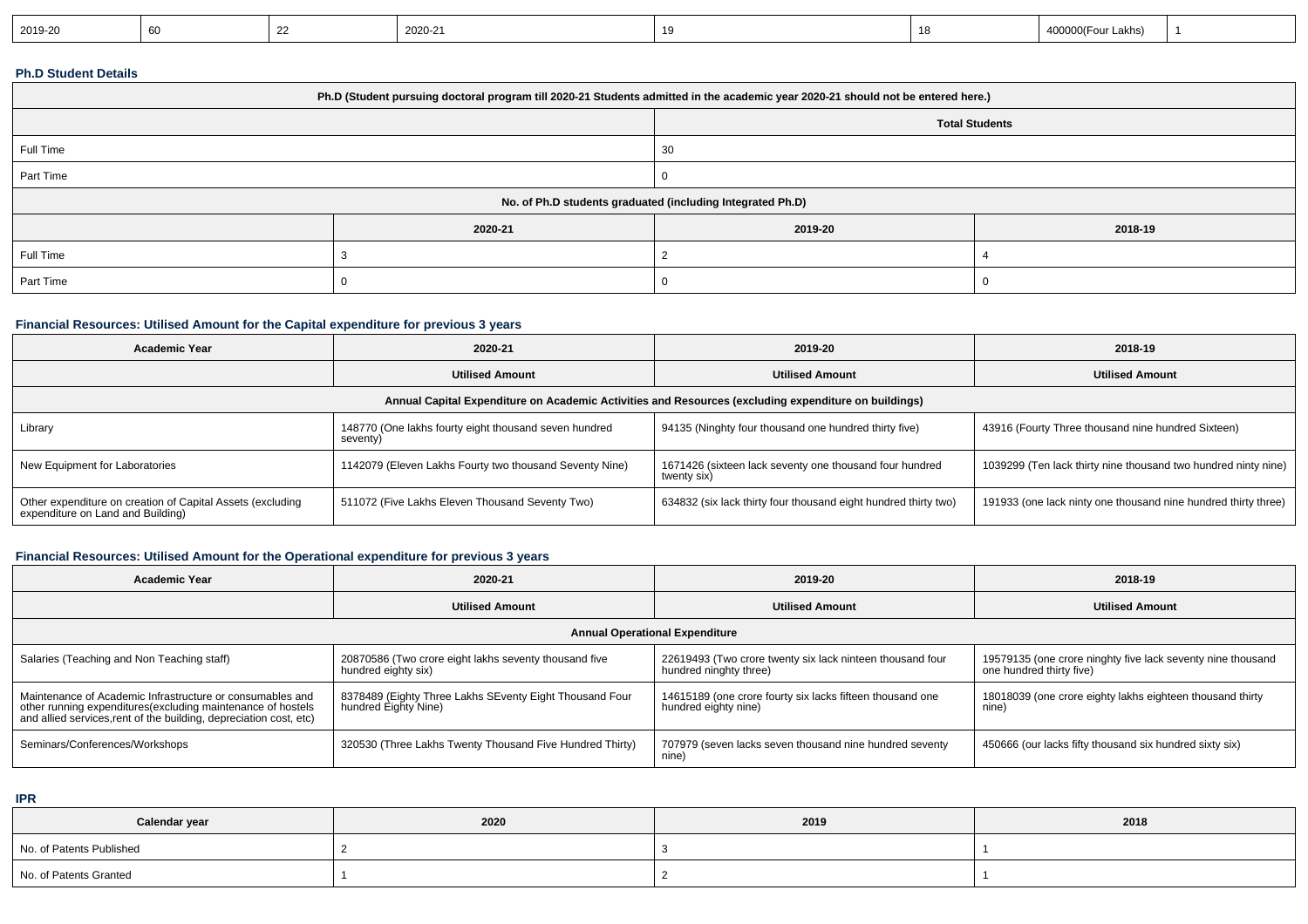| 2019-20<br>2020-21<br>`O(Four Lakhs) |
|--------------------------------------|
|--------------------------------------|

### **Ph.D Student Details**

| Ph.D (Student pursuing doctoral program till 2020-21 Students admitted in the academic year 2020-21 should not be entered here.) |         |                       |         |  |
|----------------------------------------------------------------------------------------------------------------------------------|---------|-----------------------|---------|--|
|                                                                                                                                  |         | <b>Total Students</b> |         |  |
| Full Time                                                                                                                        |         | 30                    |         |  |
| Part Time                                                                                                                        |         |                       |         |  |
| No. of Ph.D students graduated (including Integrated Ph.D)                                                                       |         |                       |         |  |
|                                                                                                                                  | 2020-21 | 2019-20               | 2018-19 |  |
| Full Time                                                                                                                        |         |                       |         |  |
| Part Time                                                                                                                        |         |                       |         |  |

### **Financial Resources: Utilised Amount for the Capital expenditure for previous 3 years**

| <b>Academic Year</b>                                                                                 | 2020-21                                                           | 2019-20                                                                | 2018-19                                                        |  |  |
|------------------------------------------------------------------------------------------------------|-------------------------------------------------------------------|------------------------------------------------------------------------|----------------------------------------------------------------|--|--|
|                                                                                                      | <b>Utilised Amount</b>                                            | <b>Utilised Amount</b>                                                 | <b>Utilised Amount</b>                                         |  |  |
| Annual Capital Expenditure on Academic Activities and Resources (excluding expenditure on buildings) |                                                                   |                                                                        |                                                                |  |  |
| Library                                                                                              | 148770 (One lakhs fourty eight thousand seven hundred<br>seventy) | 94135 (Ninghty four thousand one hundred thirty five)                  | 43916 (Fourty Three thousand nine hundred Sixteen)             |  |  |
| New Equipment for Laboratories                                                                       | 1142079 (Eleven Lakhs Fourty two thousand Seventy Nine)           | 1671426 (sixteen lack seventy one thousand four hundred<br>twenty six) | 1039299 (Ten lack thirty nine thousand two hundred ninty nine) |  |  |
| Other expenditure on creation of Capital Assets (excluding<br>expenditure on Land and Building)      | 511072 (Five Lakhs Eleven Thousand Seventy Two)                   | 634832 (six lack thirty four thousand eight hundred thirty two)        | 191933 (one lack ninty one thousand nine hundred thirty three) |  |  |

## **Financial Resources: Utilised Amount for the Operational expenditure for previous 3 years**

| <b>Academic Year</b>                                                                                                                                                                            | 2020-21                                                                         | 2019-20                                                                             | 2018-19                                                                                 |  |  |
|-------------------------------------------------------------------------------------------------------------------------------------------------------------------------------------------------|---------------------------------------------------------------------------------|-------------------------------------------------------------------------------------|-----------------------------------------------------------------------------------------|--|--|
|                                                                                                                                                                                                 | <b>Utilised Amount</b>                                                          | <b>Utilised Amount</b>                                                              | <b>Utilised Amount</b>                                                                  |  |  |
| <b>Annual Operational Expenditure</b>                                                                                                                                                           |                                                                                 |                                                                                     |                                                                                         |  |  |
| Salaries (Teaching and Non Teaching staff)                                                                                                                                                      | 20870586 (Two crore eight lakhs seventy thousand five<br>hundred eighty six)    | 22619493 (Two crore twenty six lack ninteen thousand four<br>hundred ninghty three) | 19579135 (one crore ninghty five lack seventy nine thousand<br>one hundred thirty five) |  |  |
| Maintenance of Academic Infrastructure or consumables and<br>other running expenditures (excluding maintenance of hostels<br>and allied services, rent of the building, depreciation cost, etc) | 8378489 (Eighty Three Lakhs SEventy Eight Thousand Four<br>hundred Eighty Nine) | 14615189 (one crore fourty six lacks fifteen thousand one<br>hundred eighty nine)   | 18018039 (one crore eighty lakhs eighteen thousand thirty<br>nine)                      |  |  |
| Seminars/Conferences/Workshops                                                                                                                                                                  | 320530 (Three Lakhs Twenty Thousand Five Hundred Thirty)                        | 707979 (seven lacks seven thousand nine hundred seventy<br>nine)                    | 450666 (our lacks fifty thousand six hundred sixty six)                                 |  |  |

**IPR**

| Calendar year            | 2020 | 2019 | 2018 |
|--------------------------|------|------|------|
| No. of Patents Published |      |      |      |
| No. of Patents Granted   |      |      |      |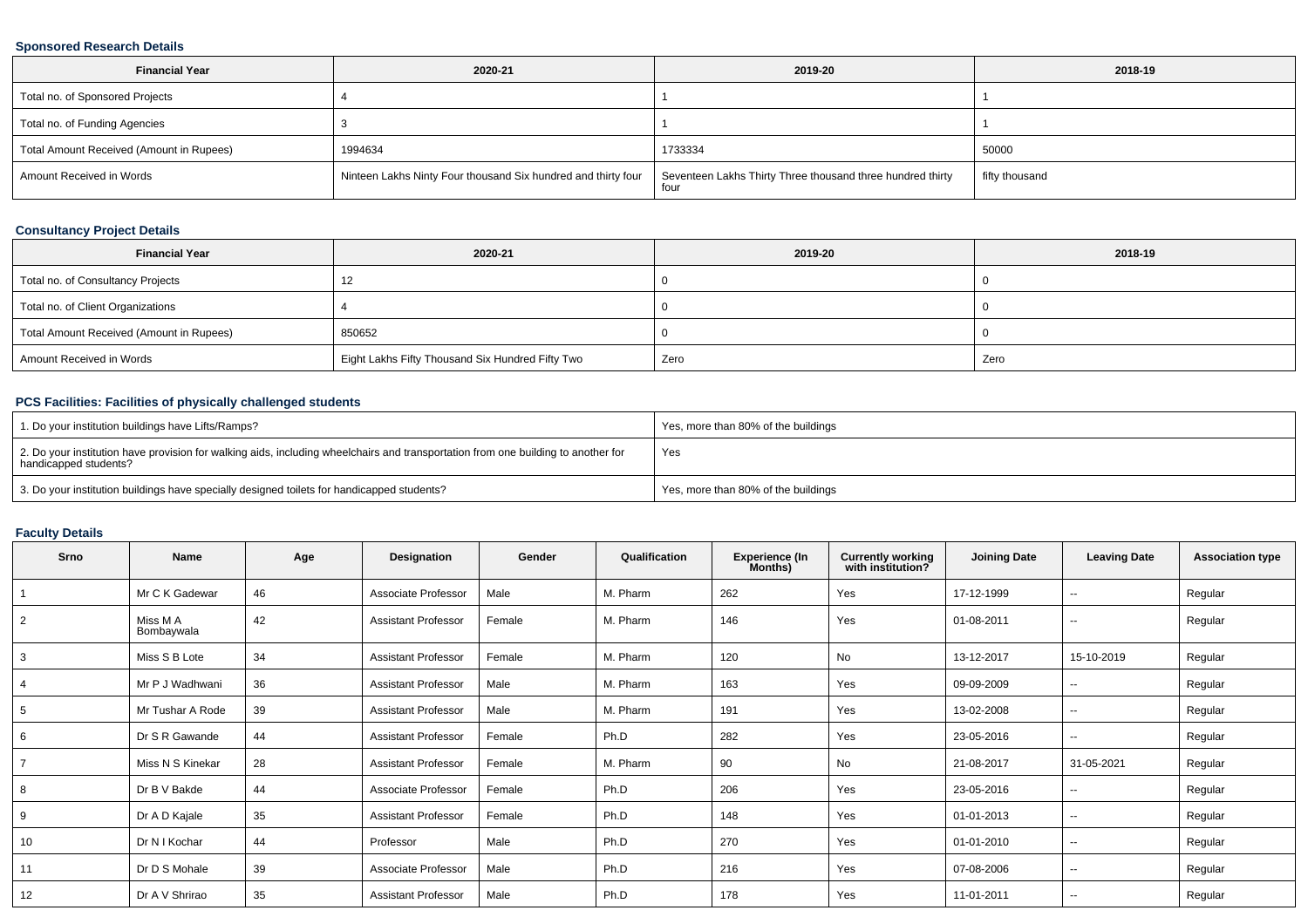### **Sponsored Research Details**

| <b>Financial Year</b>                    | 2020-21                                                       | 2019-20                                                            | 2018-19        |
|------------------------------------------|---------------------------------------------------------------|--------------------------------------------------------------------|----------------|
| Total no. of Sponsored Projects          |                                                               |                                                                    |                |
| Total no. of Funding Agencies            |                                                               |                                                                    |                |
| Total Amount Received (Amount in Rupees) | 1994634                                                       | 1733334                                                            | 50000          |
| Amount Received in Words                 | Ninteen Lakhs Ninty Four thousand Six hundred and thirty four | Seventeen Lakhs Thirty Three thousand three hundred thirty<br>four | fifty thousand |

## **Consultancy Project Details**

| <b>Financial Year</b>                    | 2020-21                                          | 2019-20 | 2018-19 |
|------------------------------------------|--------------------------------------------------|---------|---------|
| Total no. of Consultancy Projects        |                                                  |         |         |
| Total no. of Client Organizations        |                                                  |         |         |
| Total Amount Received (Amount in Rupees) | 850652                                           |         |         |
| Amount Received in Words                 | Eight Lakhs Fifty Thousand Six Hundred Fifty Two | Zero    | Zero    |

## **PCS Facilities: Facilities of physically challenged students**

| 1. Do your institution buildings have Lifts/Ramps?                                                                                                         | Yes, more than 80% of the buildings |
|------------------------------------------------------------------------------------------------------------------------------------------------------------|-------------------------------------|
| 2. Do your institution have provision for walking aids, including wheelchairs and transportation from one building to another for<br>handicapped students? | Yes                                 |
| 3. Do your institution buildings have specially designed toilets for handicapped students?                                                                 | Yes, more than 80% of the buildings |

### **Faculty Details**

| Srno           | <b>Name</b>            | Age | Designation                | Gender | Qualification | <b>Experience (In</b><br>Months) | <b>Currently working</b><br>with institution? | <b>Joining Date</b> | <b>Leaving Date</b>      | <b>Association type</b> |
|----------------|------------------------|-----|----------------------------|--------|---------------|----------------------------------|-----------------------------------------------|---------------------|--------------------------|-------------------------|
|                | Mr C K Gadewar         | 46  | Associate Professor        | Male   | M. Pharm      | 262                              | Yes                                           | 17-12-1999          | --                       | Regular                 |
| $\overline{2}$ | Miss M A<br>Bombaywala | 42  | <b>Assistant Professor</b> | Female | M. Pharm      | 146                              | Yes                                           | 01-08-2011          | $\sim$                   | Regular                 |
| 3              | Miss S B Lote          | 34  | <b>Assistant Professor</b> | Female | M. Pharm      | 120                              | No                                            | 13-12-2017          | 15-10-2019               | Regular                 |
|                | Mr P J Wadhwani        | 36  | <b>Assistant Professor</b> | Male   | M. Pharm      | 163                              | Yes                                           | 09-09-2009          | $\sim$                   | Regular                 |
| 5              | Mr Tushar A Rode       | 39  | <b>Assistant Professor</b> | Male   | M. Pharm      | 191                              | Yes                                           | 13-02-2008          | $\sim$                   | Regular                 |
| 6              | Dr S R Gawande         | 44  | <b>Assistant Professor</b> | Female | Ph.D          | 282                              | Yes                                           | 23-05-2016          | --                       | Regular                 |
|                | Miss N S Kinekar       | 28  | <b>Assistant Professor</b> | Female | M. Pharm      | 90                               | No                                            | 21-08-2017          | 31-05-2021               | Regular                 |
|                | Dr B V Bakde           | 44  | Associate Professor        | Female | Ph.D          | 206                              | Yes                                           | 23-05-2016          | $\overline{\phantom{a}}$ | Regular                 |
| 9              | Dr A D Kajale          | 35  | <b>Assistant Professor</b> | Female | Ph.D          | 148                              | Yes                                           | 01-01-2013          | $\sim$                   | Regular                 |
| 10             | Dr N I Kochar          | 44  | Professor                  | Male   | Ph.D          | 270                              | Yes                                           | 01-01-2010          | $\overline{\phantom{a}}$ | Regular                 |
| 11             | Dr D S Mohale          | 39  | Associate Professor        | Male   | Ph.D          | 216                              | Yes                                           | 07-08-2006          | --                       | Regular                 |
| 12             | Dr A V Shrirao         | 35  | <b>Assistant Professor</b> | Male   | Ph.D          | 178                              | Yes                                           | 11-01-2011          | $\sim$                   | Regular                 |